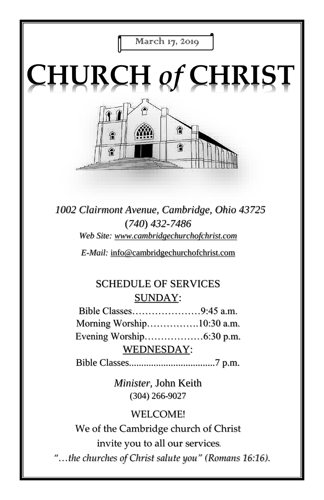

# **CHURCH** *of* **CHRIST**



*1002 Clairmont Avenue, Cambridge, Ohio 43725* (*740*) *432-7486 Web Site: www.cambridgechurchofchrist.com*

*E-Mail:* info@cambridgechurchofchrist.com

## SCHEDULE OF SERVICES SUNDAY:

Bible Classes…………………9:45 a.m. Morning Worship…………….10:30 a.m. Evening Worship………………6:30 p.m. WEDNESDAY:

Bible Classes...................................7 p.m.

*Minister,* John Keith (304) 266-9027

#### WELCOME!

We of the Cambridge church of Christ invite you to all our services*.*

*"…the churches of Christ salute you" (Romans 16:16).*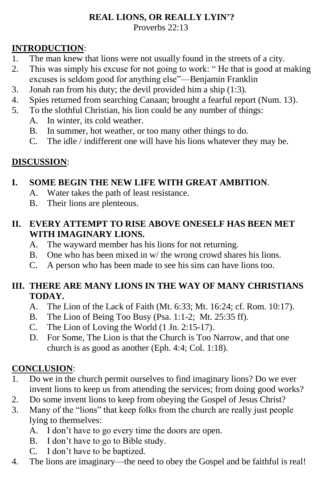#### **REAL LIONS, OR REALLY LYIN'?**

Proverbs 22:13

#### **INTRODUCTION**:

- 1. The man knew that lions were not usually found in the streets of a city.
- 2. This was simply his excuse for not going to work: " He that is good at making excuses is seldom good for anything else"—Benjamin Franklin
- 3. Jonah ran from his duty; the devil provided him a ship (1:3).
- 4. Spies returned from searching Canaan; brought a fearful report (Num. 13).
- 5. To the slothful Christian, his lion could be any number of things:
	- A. In winter, its cold weather.
	- B. In summer, hot weather, or too many other things to do.
	- C. The idle / indifferent one will have his lions whatever they may be.

#### **DISCUSSION**:

#### **I. SOME BEGIN THE NEW LIFE WITH GREAT AMBITION**.

- A. Water takes the path of least resistance.
- B. Their lions are plenteous.

#### **II. EVERY ATTEMPT TO RISE ABOVE ONESELF HAS BEEN MET WITH IMAGINARY LIONS.**

- A. The wayward member has his lions for not returning.
- B. One who has been mixed in w/ the wrong crowd shares his lions.
- C. A person who has been made to see his sins can have lions too.

#### **III. THERE ARE MANY LIONS IN THE WAY OF MANY CHRISTIANS TODAY.**

- A. The Lion of the Lack of Faith (Mt. 6:33; Mt. 16:24; cf. Rom. 10:17).
- B. The Lion of Being Too Busy (Psa. 1:1-2; Mt. 25:35 ff).
- C. The Lion of Loving the World (1 Jn. 2:15-17).
- D. For Some, The Lion is that the Church is Too Narrow, and that one church is as good as another (Eph. 4:4; Col. 1:18).

#### **CONCLUSION**:

- 1. Do we in the church permit ourselves to find imaginary lions? Do we ever invent lions to keep us from attending the services; from doing good works?
- 2. Do some invent lions to keep from obeying the Gospel of Jesus Christ?
- 3. Many of the "lions" that keep folks from the church are really just people lying to themselves:
	- A. I don't have to go every time the doors are open.
	- B. I don't have to go to Bible study.
	- C. I don't have to be baptized.
- 4. The lions are imaginary—the need to obey the Gospel and be faithful is real!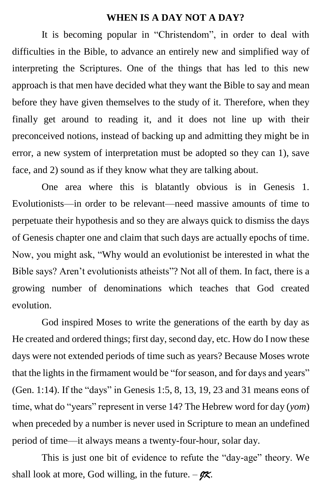#### **WHEN IS A DAY NOT A DAY?**

It is becoming popular in "Christendom", in order to deal with difficulties in the Bible, to advance an entirely new and simplified way of interpreting the Scriptures. One of the things that has led to this new approach is that men have decided what they want the Bible to say and mean before they have given themselves to the study of it. Therefore, when they finally get around to reading it, and it does not line up with their preconceived notions, instead of backing up and admitting they might be in error, a new system of interpretation must be adopted so they can 1), save face, and 2) sound as if they know what they are talking about.

One area where this is blatantly obvious is in Genesis 1. Evolutionists—in order to be relevant—need massive amounts of time to perpetuate their hypothesis and so they are always quick to dismiss the days of Genesis chapter one and claim that such days are actually epochs of time. Now, you might ask, "Why would an evolutionist be interested in what the Bible says? Aren't evolutionists atheists"? Not all of them. In fact, there is a growing number of denominations which teaches that God created evolution.

God inspired Moses to write the generations of the earth by day as He created and ordered things; first day, second day, etc. How do I now these days were not extended periods of time such as years? Because Moses wrote that the lights in the firmament would be "for season, and for days and years" (Gen. 1:14). If the "days" in Genesis 1:5, 8, 13, 19, 23 and 31 means eons of time, what do "years" represent in verse 14? The Hebrew word for day (*yom*) when preceded by a number is never used in Scripture to mean an undefined period of time—it always means a twenty-four-hour, solar day.

This is just one bit of evidence to refute the "day-age" theory. We shall look at more, God willing, in the future.  $-\mathscr{K}$ .